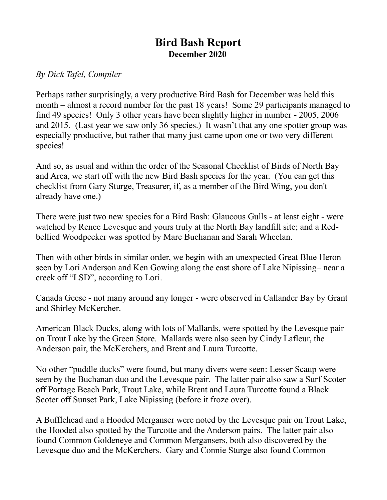## **Bird Bash Report December 2020**

## *By Dick Tafel, Compiler*

Perhaps rather surprisingly, a very productive Bird Bash for December was held this month – almost a record number for the past 18 years! Some 29 participants managed to find 49 species! Only 3 other years have been slightly higher in number - 2005, 2006 and 2015. (Last year we saw only 36 species.) It wasn't that any one spotter group was especially productive, but rather that many just came upon one or two very different species!

And so, as usual and within the order of the Seasonal Checklist of Birds of North Bay and Area, we start off with the new Bird Bash species for the year. (You can get this checklist from Gary Sturge, Treasurer, if, as a member of the Bird Wing, you don't already have one.)

There were just two new species for a Bird Bash: Glaucous Gulls - at least eight - were watched by Renee Levesque and yours truly at the North Bay landfill site; and a Redbellied Woodpecker was spotted by Marc Buchanan and Sarah Wheelan.

Then with other birds in similar order, we begin with an unexpected Great Blue Heron seen by Lori Anderson and Ken Gowing along the east shore of Lake Nipissing– near a creek off "LSD", according to Lori.

Canada Geese - not many around any longer - were observed in Callander Bay by Grant and Shirley McKercher.

American Black Ducks, along with lots of Mallards, were spotted by the Levesque pair on Trout Lake by the Green Store. Mallards were also seen by Cindy Lafleur, the Anderson pair, the McKerchers, and Brent and Laura Turcotte.

No other "puddle ducks" were found, but many divers were seen: Lesser Scaup were seen by the Buchanan duo and the Levesque pair. The latter pair also saw a Surf Scoter off Portage Beach Park, Trout Lake, while Brent and Laura Turcotte found a Black Scoter off Sunset Park, Lake Nipissing (before it froze over).

A Bufflehead and a Hooded Merganser were noted by the Levesque pair on Trout Lake, the Hooded also spotted by the Turcotte and the Anderson pairs. The latter pair also found Common Goldeneye and Common Mergansers, both also discovered by the Levesque duo and the McKerchers. Gary and Connie Sturge also found Common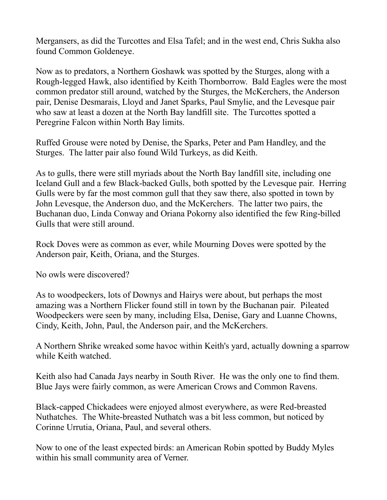Mergansers, as did the Turcottes and Elsa Tafel; and in the west end, Chris Sukha also found Common Goldeneye.

Now as to predators, a Northern Goshawk was spotted by the Sturges, along with a Rough-legged Hawk, also identified by Keith Thornborrow. Bald Eagles were the most common predator still around, watched by the Sturges, the McKerchers, the Anderson pair, Denise Desmarais, Lloyd and Janet Sparks, Paul Smylie, and the Levesque pair who saw at least a dozen at the North Bay landfill site. The Turcottes spotted a Peregrine Falcon within North Bay limits.

Ruffed Grouse were noted by Denise, the Sparks, Peter and Pam Handley, and the Sturges. The latter pair also found Wild Turkeys, as did Keith.

As to gulls, there were still myriads about the North Bay landfill site, including one Iceland Gull and a few Black-backed Gulls, both spotted by the Levesque pair. Herring Gulls were by far the most common gull that they saw there, also spotted in town by John Levesque, the Anderson duo, and the McKerchers. The latter two pairs, the Buchanan duo, Linda Conway and Oriana Pokorny also identified the few Ring-billed Gulls that were still around.

Rock Doves were as common as ever, while Mourning Doves were spotted by the Anderson pair, Keith, Oriana, and the Sturges.

No owls were discovered?

As to woodpeckers, lots of Downys and Hairys were about, but perhaps the most amazing was a Northern Flicker found still in town by the Buchanan pair. Pileated Woodpeckers were seen by many, including Elsa, Denise, Gary and Luanne Chowns, Cindy, Keith, John, Paul, the Anderson pair, and the McKerchers.

A Northern Shrike wreaked some havoc within Keith's yard, actually downing a sparrow while Keith watched.

Keith also had Canada Jays nearby in South River. He was the only one to find them. Blue Jays were fairly common, as were American Crows and Common Ravens.

Black-capped Chickadees were enjoyed almost everywhere, as were Red-breasted Nuthatches. The White-breasted Nuthatch was a bit less common, but noticed by Corinne Urrutia, Oriana, Paul, and several others.

Now to one of the least expected birds: an American Robin spotted by Buddy Myles within his small community area of Verner.